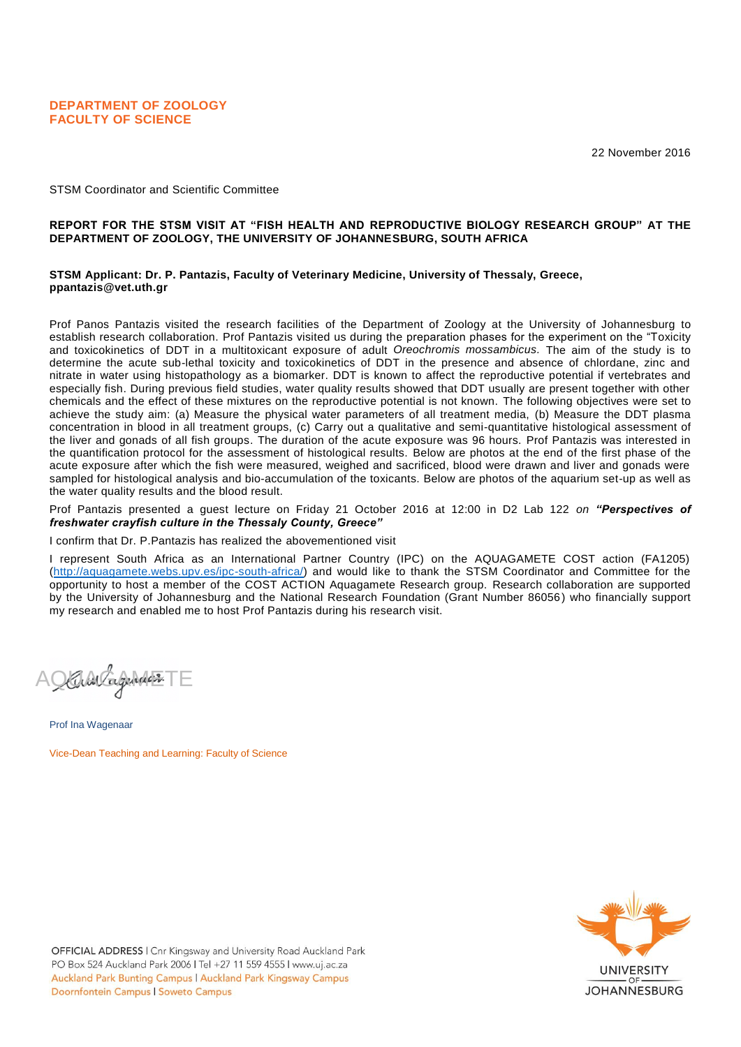22 November 2016

STSM Coordinator and Scientific Committee

### **REPORT FOR THE STSM VISIT AT "FISH HEALTH AND REPRODUCTIVE BIOLOGY RESEARCH GROUP" AT THE DEPARTMENT OF ZOOLOGY, THE UNIVERSITY OF JOHANNESBURG, SOUTH AFRICA**

### **STSM Applicant: Dr. P. Pantazis, Faculty of Veterinary Medicine, University of Thessaly, Greece, ppantazis@vet.uth.gr**

Prof Panos Pantazis visited the research facilities of the Department of Zoology at the University of Johannesburg to establish research collaboration. Prof Pantazis visited us during the preparation phases for the experiment on the "Toxicity and toxicokinetics of DDT in a multitoxicant exposure of adult *Oreochromis mossambicus.* The aim of the study is to determine the acute sub-lethal toxicity and toxicokinetics of DDT in the presence and absence of chlordane, zinc and nitrate in water using histopathology as a biomarker. DDT is known to affect the reproductive potential if vertebrates and especially fish. During previous field studies, water quality results showed that DDT usually are present together with other chemicals and the effect of these mixtures on the reproductive potential is not known. The following objectives were set to achieve the study aim: (a) Measure the physical water parameters of all treatment media, (b) Measure the DDT plasma concentration in blood in all treatment groups, (c) Carry out a qualitative and semi-quantitative histological assessment of the liver and gonads of all fish groups. The duration of the acute exposure was 96 hours. Prof Pantazis was interested in the quantification protocol for the assessment of histological results. Below are photos at the end of the first phase of the acute exposure after which the fish were measured, weighed and sacrificed, blood were drawn and liver and gonads were sampled for histological analysis and bio-accumulation of the toxicants. Below are photos of the aquarium set-up as well as the water quality results and the blood result.

Prof Pantazis presented a guest lecture on Friday 21 October 2016 at 12:00 in D2 Lab 122 *on "Perspectives of freshwater crayfish culture in the Thessaly County, Greece"*

#### I confirm that Dr. P.Pantazis has realized the abovementioned visit

I represent South Africa as an International Partner Country (IPC) on the AQUAGAMETE COST action (FA1205) [\(http://aquagamete.webs.upv.es/ipc-south-africa/\)](http://aquagamete.webs.upv.es/ipc-south-africa/) and would like to thank the STSM Coordinator and Committee for the opportunity to host a member of the COST ACTION Aquagamete Research group. Research collaboration are supported by the University of Johannesburg and the National Research Foundation (Grant Number 86056) who financially support my research and enabled me to host Prof Pantazis during his research visit.

KULAV Carpendado 3.

Prof Ina Wagenaar Vice-Dean Teaching and Learning: Faculty of Science

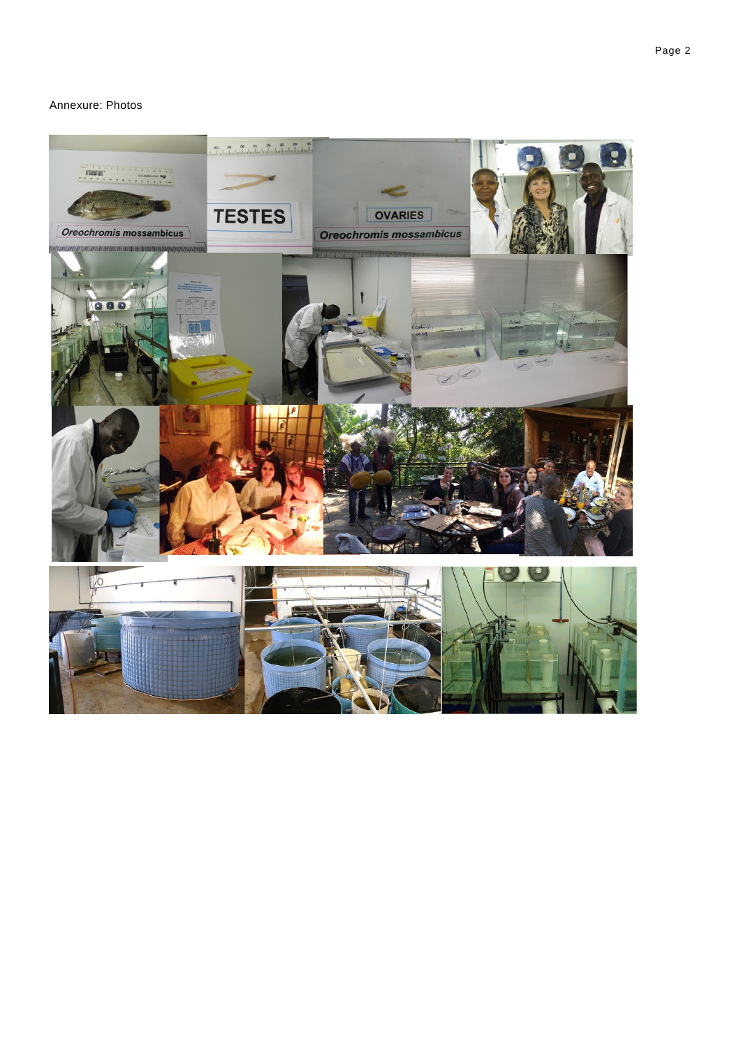## Annexure: Photos

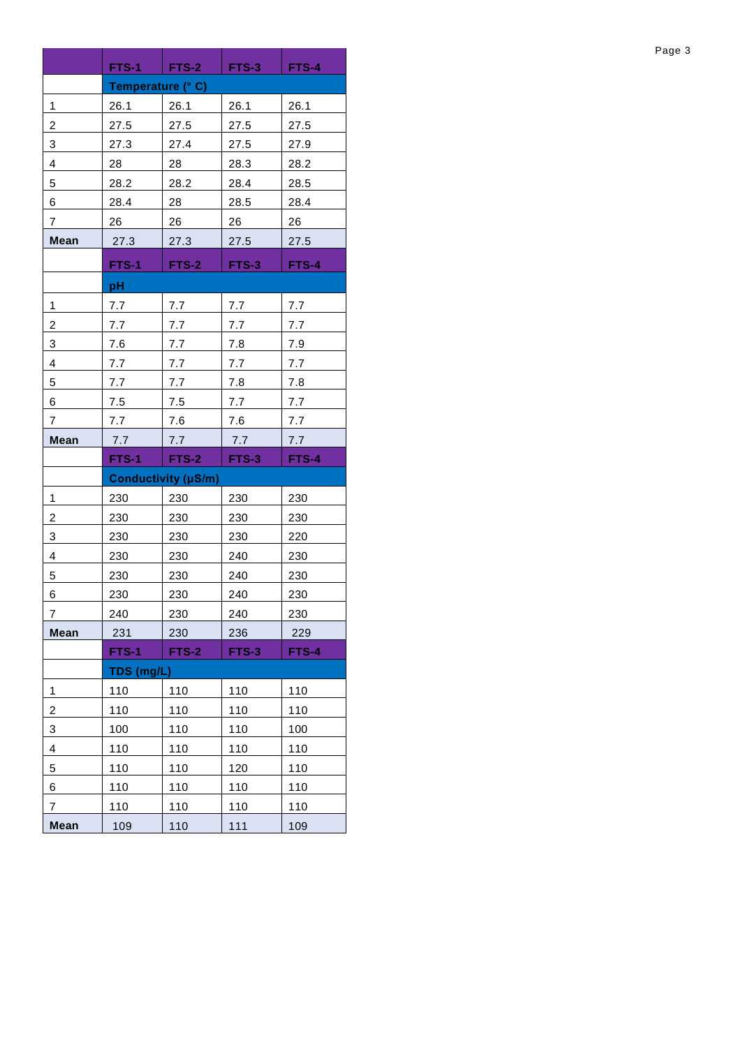|                | FTS-1                      | FTS-2                                        | FTS-3                        | <b>FTS-4</b> |  |  |  |  |
|----------------|----------------------------|----------------------------------------------|------------------------------|--------------|--|--|--|--|
|                | Temperature (° C)          |                                              |                              |              |  |  |  |  |
| 1              | 26.1                       | 26.1                                         | 26.1                         | 26.1         |  |  |  |  |
| 2              | 27.5                       | 27.5                                         | 27.5                         | 27.5         |  |  |  |  |
| 3              | 27.3                       | 27.4                                         | 27.5                         | 27.9         |  |  |  |  |
| 4              | 28                         | 28                                           | 28.3                         | 28.2         |  |  |  |  |
| 5              | 28.2                       | 28.2                                         | 28.4                         | 28.5         |  |  |  |  |
| 6              | 28.4                       | 28                                           | 28.5                         | 28.4         |  |  |  |  |
| $\overline{7}$ | 26                         | 26                                           | 26                           | 26           |  |  |  |  |
| <b>Mean</b>    | 27.3                       | 27.3                                         | 27.5<br>27.5                 |              |  |  |  |  |
|                | <b>FTS-1</b>               | <b>FTS-2</b>                                 | <b>FTS-4</b><br><b>FTS-3</b> |              |  |  |  |  |
|                | pH                         |                                              |                              |              |  |  |  |  |
| 1              | 7.7                        | 7.7                                          | 7.7                          | 7.7          |  |  |  |  |
| 2              | 7.7                        | 7.7                                          | 7.7                          | 7.7          |  |  |  |  |
| 3              | 7.6                        | 7.7                                          | 7.8                          | 7.9          |  |  |  |  |
| 4              | 7.7                        | 7.7                                          | 7.7                          | 7.7          |  |  |  |  |
| 5              | 7.7                        | 7.7                                          | 7.8                          | 7.8          |  |  |  |  |
| 6              | 7.5                        | 7.5                                          | 7.7                          | 7.7          |  |  |  |  |
| $\overline{7}$ | 7.7                        | 7.6                                          | 7.6                          | 7.7          |  |  |  |  |
| <b>Mean</b>    | 7.7                        | 7.7                                          | 7.7                          | 7.7          |  |  |  |  |
|                | <b>FTS-1</b>               | <b>FTS-2</b><br><b>FTS-3</b><br><b>FTS-4</b> |                              |              |  |  |  |  |
|                | <b>Conductivity (µS/m)</b> |                                              |                              |              |  |  |  |  |
| $\mathbf{1}$   | 230                        | 230                                          | 230                          | 230          |  |  |  |  |
| 2              | 230                        | 230                                          | 230                          | 230          |  |  |  |  |
| 3              | 230                        | 230                                          | 230                          | 220          |  |  |  |  |
| 4              | 230                        | 230                                          | 240                          | 230          |  |  |  |  |
| 5              | 230                        | 230                                          | 240                          | 230          |  |  |  |  |
| 6              | 230                        | 230                                          | 240                          | 230          |  |  |  |  |
| 7              | 240                        | 230                                          | 240                          | 230          |  |  |  |  |
| <b>Mean</b>    | 231                        | 230                                          | 236                          | 229          |  |  |  |  |
|                | FTS-1                      | FTS-4<br><b>FTS-2</b><br>FTS-3               |                              |              |  |  |  |  |
|                | TDS (mg/L)                 |                                              |                              |              |  |  |  |  |
| 1              | 110                        | 110                                          | 110                          | 110          |  |  |  |  |
| 2              | 110                        | 110                                          | 110                          | 110          |  |  |  |  |
| 3              | 100                        | 110                                          | 110                          | 100          |  |  |  |  |
| 4              | 110                        | 110                                          | 110                          | 110          |  |  |  |  |
| 5              | 110                        | 110                                          | 120                          | 110          |  |  |  |  |
| 6              | 110                        | 110                                          | 110                          | 110          |  |  |  |  |
| 7              | 110                        | 110                                          | 110                          | 110          |  |  |  |  |
| <b>Mean</b>    | 109                        | 110                                          | 111                          | 109          |  |  |  |  |